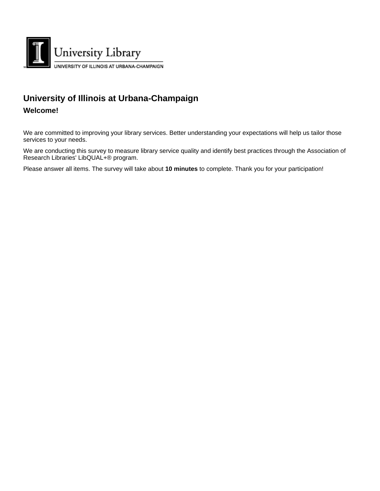

## **University of Illinois at Urbana-Champaign**

## **Welcome!**

We are committed to improving your library services. Better understanding your expectations will help us tailor those services to your needs.

We are conducting this survey to measure library service quality and identify best practices through the Association of Research Libraries' LibQUAL+® program.

Please answer all items. The survey will take about **10 minutes** to complete. Thank you for your participation!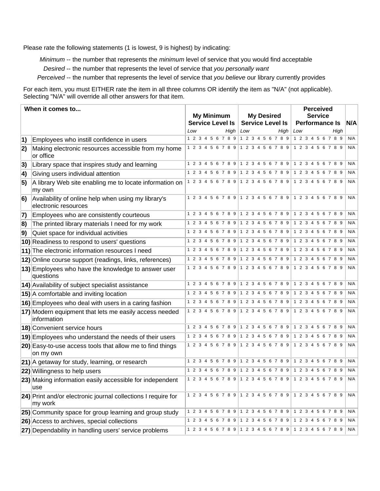Please rate the following statements (1 is lowest, 9 is highest) by indicating:

*Minimum* -- the number that represents the *minimum* level of service that you would find acceptable

*Desired* -- the number that represents the level of service that *you personally want*

*Perceived* -- the number that represents the level of service that *you believe* our library currently provides

For each item, you must EITHER rate the item in all three columns OR identify the item as "N/A" (not applicable). Selecting "N/A" will override all other answers for that item.

|            | When it comes to                                                            |     |  | <b>My Minimum</b> |  |                                     |     |  | <b>My Desired</b>       |      |                     |             |    | <b>Perceived</b><br><b>Service</b>                    |                                                       |     |
|------------|-----------------------------------------------------------------------------|-----|--|-------------------|--|-------------------------------------|-----|--|-------------------------|------|---------------------|-------------|----|-------------------------------------------------------|-------------------------------------------------------|-----|
|            |                                                                             |     |  |                   |  | <b>Service Level Is</b>             |     |  | <b>Service Level Is</b> |      |                     |             |    | <b>Performance Is</b>                                 |                                                       | N/A |
|            |                                                                             | Low |  |                   |  | High                                | Low |  |                         | High | Low                 |             |    |                                                       | High                                                  |     |
| $\vert$ 1) | Employees who instill confidence in users                                   |     |  |                   |  |                                     |     |  |                         |      |                     |             |    |                                                       | 1 2 3 4 5 6 7 8 9 1 2 3 4 5 6 7 8 9 1 2 3 4 5 6 7 8 9 | N/A |
| 2)         | Making electronic resources accessible from my home<br>or office            |     |  |                   |  |                                     |     |  |                         |      |                     |             |    | 1 2 3 4 5 6 7 8 9 1 2 3 4 5 6 7 8 9 1 2 3 4 5 6 7 8 9 |                                                       | N/A |
| 3)         | Library space that inspires study and learning                              |     |  |                   |  | 1 2 3 4 5 6 7 8 9 1 2 3 4 5 6 7 8 9 |     |  |                         |      |                     |             |    | 1 2 3 4 5 6 7 8 9                                     |                                                       | N/A |
| $\vert$ 4) | Giving users individual attention                                           |     |  |                   |  | 1 2 3 4 5 6 7 8 9 1 2 3 4 5 6 7 8 9 |     |  |                         |      |                     |             |    | 1 2 3 4 5 6 7 8 9                                     |                                                       | N/A |
| 5)         | A library Web site enabling me to locate information on<br>my own           |     |  |                   |  | 1 2 3 4 5 6 7 8 9 1 2 3 4 5 6 7 8 9 |     |  |                         |      |                     | 1 2 3 4 5 6 |    |                                                       | 789                                                   | N/A |
| 6)         | Availability of online help when using my library's<br>electronic resources |     |  |                   |  | 1 2 3 4 5 6 7 8 9 1 2 3 4 5 6 7 8 9 |     |  |                         |      |                     |             |    | 1 2 3 4 5 6 7 8 9                                     |                                                       | N/A |
| 7)         | Employees who are consistently courteous                                    |     |  |                   |  |                                     |     |  |                         |      |                     |             |    | 1 2 3 4 5 6 7 8 9 1 2 3 4 5 6 7 8 9 1 2 3 4 5 6 7 8 9 |                                                       | N/A |
| 8)         | The printed library materials I need for my work                            |     |  |                   |  | 1 2 3 4 5 6 7 8 9 1 2 3 4 5 6 7 8 9 |     |  |                         |      |                     |             |    | 1 2 3 4 5 6 7 8 9                                     |                                                       | N/A |
| 9)         | Quiet space for individual activities                                       |     |  |                   |  |                                     |     |  |                         |      |                     |             |    | 1 2 3 4 5 6 7 8 9 1 2 3 4 5 6 7 8 9 1 2 3 4 5 6 7 8 9 |                                                       | N/A |
|            | 10) Readiness to respond to users' questions                                |     |  |                   |  | 1 2 3 4 5 6 7 8 9 1 2 3 4 5 6 7 8 9 |     |  |                         |      |                     | 1 2 3 4     |    |                                                       | 789                                                   | N/A |
|            | 11) The electronic information resources I need                             |     |  |                   |  | 1 2 3 4 5 6 7 8 9 1 2 3 4 5 6 7 8 9 |     |  |                         |      |                     | 1 2 3 4     |    | 5 6 7 8 9                                             |                                                       | N/A |
|            | 12) Online course support (readings, links, references)                     |     |  |                   |  | 1 2 3 4 5 6 7 8 9 1 2 3 4 5 6 7 8 9 |     |  |                         |      |                     |             |    | 1 2 3 4 5 6 7 8 9                                     |                                                       | N/A |
|            | 13) Employees who have the knowledge to answer user<br>questions            |     |  |                   |  | 1 2 3 4 5 6 7 8 9 1 2 3 4 5 6 7 8 9 |     |  |                         |      |                     |             |    | 1 2 3 4 5 6 7 8 9                                     |                                                       | N/A |
|            | 14) Availability of subject specialist assistance                           |     |  |                   |  |                                     |     |  |                         |      |                     |             |    | 1 2 3 4 5 6 7 8 9 1 2 3 4 5 6 7 8 9 1 2 3 4 5 6 7 8 9 |                                                       | N/A |
|            | 15) A comfortable and inviting location                                     |     |  |                   |  | 1 2 3 4 5 6 7 8 9 1 2 3 4 5 6 7 8 9 |     |  |                         |      |                     | 1 2 3 4     | 56 |                                                       | 789                                                   | N/A |
|            | 16) Employees who deal with users in a caring fashion                       |     |  |                   |  |                                     |     |  |                         |      |                     |             |    | 1 2 3 4 5 6 7 8 9 1 2 3 4 5 6 7 8 9 1 2 3 4 5 6 7 8 9 |                                                       | N/A |
|            | 17) Modern equipment that lets me easily access needed<br>information       |     |  |                   |  | 1 2 3 4 5 6 7 8 9 1 2 3 4 5 6 7 8 9 |     |  |                         |      |                     |             |    | 1 2 3 4 5 6 7 8 9                                     |                                                       | N/A |
|            | 18) Convenient service hours                                                |     |  |                   |  | 4 5 6 7 8 9 1 2 3 4 5 6 7 8 9       |     |  |                         |      | $1 \quad 2 \quad 3$ |             | 56 |                                                       |                                                       | N/A |
|            | 19) Employees who understand the needs of their users                       |     |  |                   |  |                                     |     |  |                         |      |                     |             |    | 1 2 3 4 5 6 7 8 9 1 2 3 4 5 6 7 8 9 1 2 3 4 5 6 7 8 9 |                                                       | N/A |
|            | 20) Easy-to-use access tools that allow me to find things<br>on my own      |     |  |                   |  |                                     |     |  |                         |      |                     |             |    | 1 2 3 4 5 6 7 8 9 1 2 3 4 5 6 7 8 9 1 2 3 4 5 6 7 8 9 |                                                       | N/A |
|            | 21) A getaway for study, learning, or research                              |     |  |                   |  | 1 2 3 4 5 6 7 8 9 1 2 3 4 5 6 7 8 9 |     |  |                         |      |                     | 1 2 3 4     |    |                                                       | 89                                                    | N/A |
|            | 22) Willingness to help users                                               |     |  |                   |  | 1 2 3 4 5 6 7 8 9                   |     |  | 1 2 3 4 5 6 7 8 9       |      |                     | 1 2 3 4     |    |                                                       | 789                                                   | N/A |
|            | 23) Making information easily accessible for independent<br>use             |     |  |                   |  |                                     |     |  |                         |      |                     |             |    | 1 2 3 4 5 6 7 8 9 1 2 3 4 5 6 7 8 9 1 2 3 4 5 6 7 8 9 |                                                       | N/A |
|            | 24) Print and/or electronic journal collections I require for<br>my work    |     |  |                   |  |                                     |     |  |                         |      |                     |             |    | 1 2 3 4 5 6 7 8 9 1 2 3 4 5 6 7 8 9 1 2 3 4 5 6 7 8 9 |                                                       | N/A |
|            | 25) Community space for group learning and group study                      |     |  |                   |  |                                     |     |  |                         |      |                     |             |    | 1 2 3 4 5 6 7 8 9 1 2 3 4 5 6 7 8 9 1 2 3 4 5 6 7 8 9 |                                                       | N/A |
|            | 26) Access to archives, special collections                                 |     |  |                   |  | 1 2 3 4 5 6 7 8 9 1 2 3 4 5 6 7 8 9 |     |  |                         |      |                     |             |    | 1 2 3 4 5 6 7 8 9                                     |                                                       | N/A |
|            | 27) Dependability in handling users' service problems                       |     |  |                   |  |                                     |     |  |                         |      |                     |             |    | 1 2 3 4 5 6 7 8 9 1 2 3 4 5 6 7 8 9 1 2 3 4 5 6 7 8 9 |                                                       | N/A |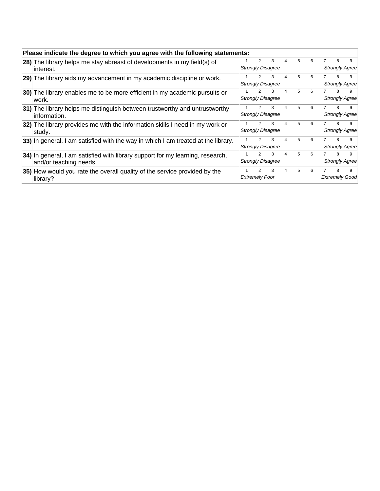| Please indicate the degree to which you agree with the following statements:                             |                       |               |                               |                |   |   |   |                            |
|----------------------------------------------------------------------------------------------------------|-----------------------|---------------|-------------------------------|----------------|---|---|---|----------------------------|
| 28) The library helps me stay abreast of developments in my field(s) of<br>linterest.                    |                       | 2             | 3<br><b>Strongly Disagree</b> | 4              | 5 | 6 | 8 | 9<br>Strongly Agree        |
| 29) The library aids my advancement in my academic discipline or work.                                   |                       |               | 3<br><b>Strongly Disagree</b> | 4              | 5 | 6 | 8 | 9<br>Strongly Agree        |
| 30) The library enables me to be more efficient in my academic pursuits or<br>lwork.                     |                       |               | 3<br><b>Strongly Disagree</b> | $\overline{4}$ | 5 | 6 | 8 | 9<br>Strongly Agree        |
| 31) The library helps me distinguish between trustworthy and untrustworthy<br>linformation.              |                       | $\mathcal{P}$ | 3<br><b>Strongly Disagree</b> | $\overline{4}$ | 5 | 6 | 8 | 9<br>Strongly Agree        |
| 32) The library provides me with the information skills I need in my work or<br>∣studv.                  |                       | $\mathcal{P}$ | 3<br><b>Strongly Disagree</b> | 4              | 5 | 6 | 8 | 9<br>Strongly Agree        |
| 33) In general, I am satisfied with the way in which I am treated at the library.                        |                       | $\mathcal{P}$ | 3<br><b>Strongly Disagree</b> | 4              | 5 | 6 | 8 | 9<br>Strongly Agree        |
| 34) In general, I am satisfied with library support for my learning, research,<br>and/or teaching needs. |                       | $\mathcal{P}$ | 3<br><b>Strongly Disagree</b> | 4              | 5 | 6 | 8 | 9<br>Strongly Agree        |
| 35) How would you rate the overall quality of the service provided by the<br>library?                    | <b>Extremely Poor</b> | 2             | 3                             | 4              | 5 | 6 | 8 | 9<br><b>Extremely Good</b> |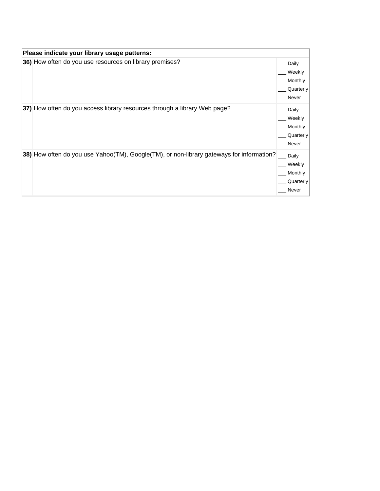| Please indicate your library usage patterns:                                             |           |
|------------------------------------------------------------------------------------------|-----------|
| 36) How often do you use resources on library premises?                                  | Daily     |
|                                                                                          | Weekly    |
|                                                                                          | Monthly   |
|                                                                                          | Quarterly |
|                                                                                          | Never     |
| 37) How often do you access library resources through a library Web page?                | Daily     |
|                                                                                          | Weekly    |
|                                                                                          | Monthly   |
|                                                                                          | Quarterly |
|                                                                                          | Never     |
| 38) How often do you use Yahoo(TM), Google(TM), or non-library gateways for information? | Daily     |
|                                                                                          | Weekly    |
|                                                                                          | Monthly   |
|                                                                                          | Quarterly |
|                                                                                          | Never     |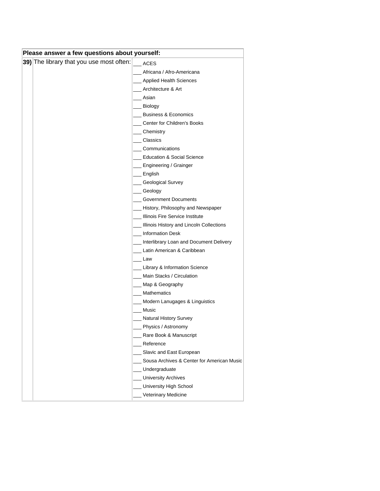| Please answer a few questions about yourself: |                                          |                                             |  |  |  |  |  |  |  |
|-----------------------------------------------|------------------------------------------|---------------------------------------------|--|--|--|--|--|--|--|
|                                               | 39) The library that you use most often: | <b>ACES</b>                                 |  |  |  |  |  |  |  |
|                                               |                                          | Africana / Afro-Americana                   |  |  |  |  |  |  |  |
|                                               |                                          | <b>Applied Health Sciences</b>              |  |  |  |  |  |  |  |
|                                               |                                          | Architecture & Art                          |  |  |  |  |  |  |  |
|                                               |                                          | Asian                                       |  |  |  |  |  |  |  |
|                                               |                                          | _ Biology                                   |  |  |  |  |  |  |  |
|                                               |                                          | <b>Business &amp; Economics</b>             |  |  |  |  |  |  |  |
|                                               |                                          | Center for Children's Books                 |  |  |  |  |  |  |  |
|                                               |                                          | Chemistry                                   |  |  |  |  |  |  |  |
|                                               |                                          | Classics                                    |  |  |  |  |  |  |  |
|                                               |                                          | Communications                              |  |  |  |  |  |  |  |
|                                               |                                          | <b>Education &amp; Social Science</b>       |  |  |  |  |  |  |  |
|                                               |                                          | _ Engineering / Grainger                    |  |  |  |  |  |  |  |
|                                               |                                          | $\equiv$ English                            |  |  |  |  |  |  |  |
|                                               |                                          | Geological Survey                           |  |  |  |  |  |  |  |
|                                               |                                          | Geology                                     |  |  |  |  |  |  |  |
|                                               |                                          | <b>Government Documents</b>                 |  |  |  |  |  |  |  |
|                                               |                                          | History, Philosophy and Newspaper           |  |  |  |  |  |  |  |
|                                               |                                          | Illinois Fire Service Institute             |  |  |  |  |  |  |  |
|                                               |                                          | Illinois History and Lincoln Collections    |  |  |  |  |  |  |  |
|                                               |                                          | Information Desk                            |  |  |  |  |  |  |  |
|                                               |                                          | Interlibrary Loan and Document Delivery     |  |  |  |  |  |  |  |
|                                               |                                          | Latin American & Caribbean                  |  |  |  |  |  |  |  |
|                                               |                                          | Law                                         |  |  |  |  |  |  |  |
|                                               |                                          | <b>Library &amp; Information Science</b>    |  |  |  |  |  |  |  |
|                                               |                                          | Main Stacks / Circulation                   |  |  |  |  |  |  |  |
|                                               |                                          | Map & Geography                             |  |  |  |  |  |  |  |
|                                               |                                          | <b>Mathematics</b>                          |  |  |  |  |  |  |  |
|                                               |                                          | Modern Lanugages & Linguistics              |  |  |  |  |  |  |  |
|                                               |                                          | Music                                       |  |  |  |  |  |  |  |
|                                               |                                          | <b>Natural History Survey</b>               |  |  |  |  |  |  |  |
|                                               |                                          | _ Physics / Astronomy                       |  |  |  |  |  |  |  |
|                                               |                                          | Rare Book & Manuscript                      |  |  |  |  |  |  |  |
|                                               |                                          | Reference                                   |  |  |  |  |  |  |  |
|                                               |                                          | Slavic and East European                    |  |  |  |  |  |  |  |
|                                               |                                          | Sousa Archives & Center for American Music  |  |  |  |  |  |  |  |
|                                               |                                          | Undergraduate<br><b>University Archives</b> |  |  |  |  |  |  |  |
|                                               |                                          | University High School                      |  |  |  |  |  |  |  |
|                                               |                                          |                                             |  |  |  |  |  |  |  |
|                                               |                                          | Veterinary Medicine                         |  |  |  |  |  |  |  |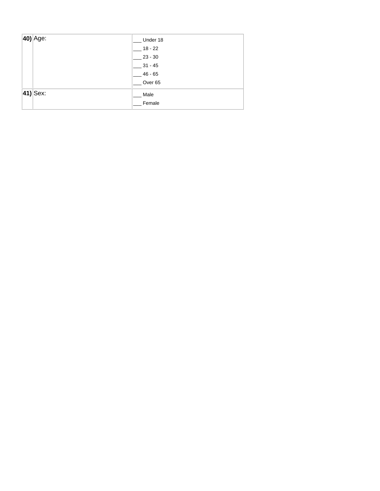| $ 40\rangle$ Age: | Under 18           |
|-------------------|--------------------|
|                   | $18 - 22$          |
|                   | $23 - 30$          |
|                   | $31 - 45$          |
|                   | $46 - 65$          |
|                   | Over <sub>65</sub> |
| $ 41\rangle$ Sex: | Male               |
|                   | Female             |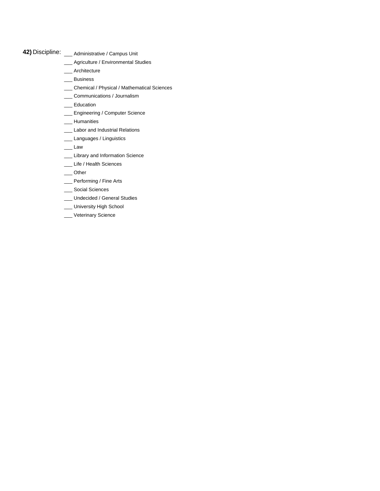- **42)** Discipline: \_\_\_ Administrative / Campus Unit
	- \_\_\_ Agriculture / Environmental Studies
	- \_\_\_ Architecture
	- \_\_\_ Business
	- \_\_\_ Chemical / Physical / Mathematical Sciences
	- \_\_\_ Communications / Journalism
	- \_\_\_ Education
	- \_\_\_ Engineering / Computer Science
	- \_\_\_ Humanities
	- \_\_\_ Labor and Industrial Relations
	- \_\_\_ Languages / Linguistics
	- $\_\_\_\$  Law
	- \_\_\_ Library and Information Science
	- \_\_\_ Life / Health Sciences
	- \_\_\_ Other
	- \_\_\_ Performing / Fine Arts
	- \_\_\_ Social Sciences
	- \_\_\_ Undecided / General Studies
	- \_ University High School
	- \_\_ Veterinary Science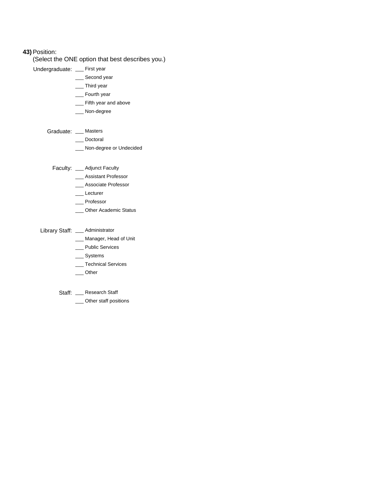## **43)**Position:

(Select the ONE option that best describes you.)

Undergraduate: \_\_ First year

- \_\_\_ Second year
- \_\_\_ Third year
- \_\_\_ Fourth year
- \_\_\_ Fifth year and above
- \_\_\_ Non-degree

## Graduate: \_\_\_ Masters

- \_\_\_ Doctoral
- \_\_\_ Non-degree or Undecided

Faculty: \_\_\_ Adjunct Faculty

- \_\_\_ Assistant Professor
- \_\_\_ Associate Professor
- \_\_\_ Lecturer
- \_\_\_ Professor
- \_\_ Other Academic Status
- Library Staff: \_\_\_ Administrator
	- \_\_ Manager, Head of Unit
	- \_\_\_ Public Services
	- \_\_\_ Systems
	- \_\_\_ Technical Services
	- \_\_\_ Other
	- Staff: \_\_ Research Staff
		- \_\_\_ Other staff positions